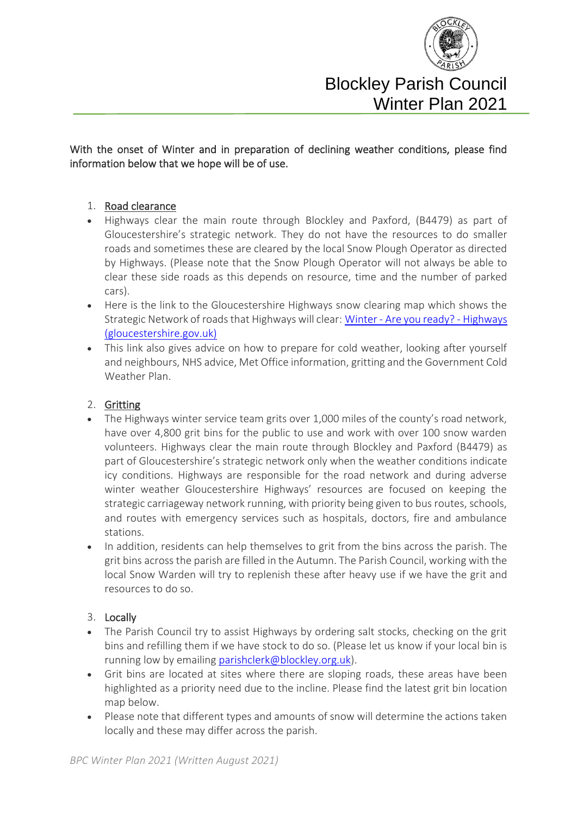

### With the onset of Winter and in preparation of declining weather conditions, please find information below that we hope will be of use.

#### 1. Road clearance

- Highways clear the main route through Blockley and Paxford, (B4479) as part of Gloucestershire's strategic network. They do not have the resources to do smaller roads and sometimes these are cleared by the local Snow Plough Operator as directed by Highways. (Please note that the Snow Plough Operator will not always be able to clear these side roads as this depends on resource, time and the number of parked cars).
- Here is the link to the Gloucestershire Highways snow clearing map which shows the Strategic Network of roads that Highways will clear: Winter - [Are you ready? -](https://www.gloucestershire.gov.uk/highways/roads/winter/) Highways [\(gloucestershire.gov.uk\)](https://www.gloucestershire.gov.uk/highways/roads/winter/)
- This link also gives advice on how to prepare for cold weather, looking after yourself and neighbours, NHS advice, Met Office information, gritting and the Government Cold Weather Plan.

#### 2. Gritting

- The Highways winter service team grits over 1,000 miles of the county's road network, have over 4,800 grit bins for the public to use and work with over 100 snow warden volunteers. Highways clear the main route through Blockley and Paxford (B4479) as part of Gloucestershire's strategic network only when the weather conditions indicate icy conditions. Highways are responsible for the road network and during adverse winter weather Gloucestershire Highways' resources are focused on keeping the strategic carriageway network running, with priority being given to bus routes, schools, and routes with emergency services such as hospitals, doctors, fire and ambulance stations.
- In addition, residents can help themselves to grit from the bins across the parish. The grit bins across the parish are filled in the Autumn. The Parish Council, working with the local Snow Warden will try to replenish these after heavy use if we have the grit and resources to do so.

#### 3. Locally

- The Parish Council try to assist Highways by ordering salt stocks, checking on the grit bins and refilling them if we have stock to do so. (Please let us know if your local bin is running low by emailing [parishclerk@blockley.org.uk\)](mailto:parishclerk@blockley.org.uk).
- Grit bins are located at sites where there are sloping roads, these areas have been highlighted as a priority need due to the incline. Please find the latest grit bin location map below.
- Please note that different types and amounts of snow will determine the actions taken locally and these may differ across the parish.